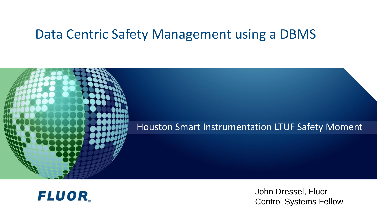#### Data Centric Safety Management using a DBMS





John Dressel, Fluor Control Systems Fellow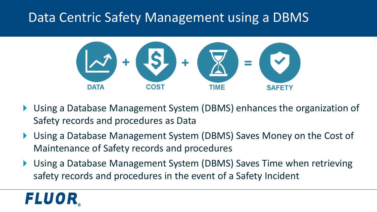### Data Centric Safety Management using a DBMS



- Using a Database Management System (DBMS) enhances the organization of Safety records and procedures as Data
- Using a Database Management System (DBMS) Saves Money on the Cost of Maintenance of Safety records and procedures
- Using a Database Management System (DBMS) Saves Time when retrieving safety records and procedures in the event of a Safety Incident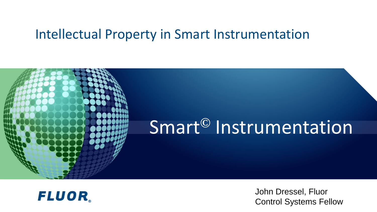#### Intellectual Property in Smart Instrumentation





John Dressel, Fluor Control Systems Fellow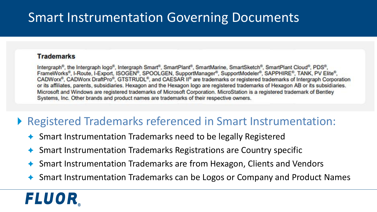### Smart Instrumentation Governing Documents

#### **Trademarks**

Intergraph<sup>®</sup>, the Intergraph logo®, Intergraph Smart®, SmartPlant®, SmartMarine, SmartSketch®, SmartPlant Cloud®, PDS®, FrameWorks®, I-Route, I-Export, ISOGEN®, SPOOLGEN, SupportManager®, SupportModeler®, SAPPHIRE®, TANK, PV Elite®, CADWorx<sup>®</sup>, CADWorx DraftPro®, GTSTRUDL®, and CAESAR II<sup>®</sup> are trademarks or registered trademarks of Intergraph Corporation or its affiliates, parents, subsidiaries. Hexagon and the Hexagon logo are registered trademarks of Hexagon AB or its subsidiaries. Microsoft and Windows are registered trademarks of Microsoft Corporation. MicroStation is a registered trademark of Bentley Systems, Inc. Other brands and product names are trademarks of their respective owners.

#### Registered Trademarks referenced in Smart Instrumentation:

- ◆ Smart Instrumentation Trademarks need to be legally Registered
- Smart Instrumentation Trademarks Registrations are Country specific
- Smart Instrumentation Trademarks are from Hexagon, Clients and Vendors
- ◆ Smart Instrumentation Trademarks can be Logos or Company and Product Names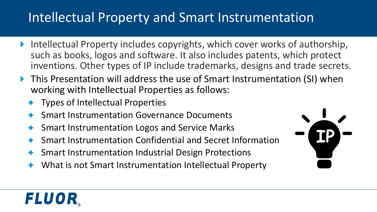## Intellectual Property and Smart Instrumentation

- ▶ Intellectual Property includes copyrights, which cover works of authorship, such as books, logos and software. It also includes patents, which protect inventions. Other types of IP include trademarks, designs and trade secrets.
- ▶ This Presentation will address the use of Smart Instrumentation (SI) when working with Intellectual Properties as follows:
	- Types of Intellectual Properties
	- Smart Instrumentation Governance Documents
	- Smart Instrumentation Logos and Service Marks
	- Smart Instrumentation Confidential and Secret Information
	- Smart Instrumentation Industrial Design Protections
	- What is not Smart Instrumentation Intellectual Property

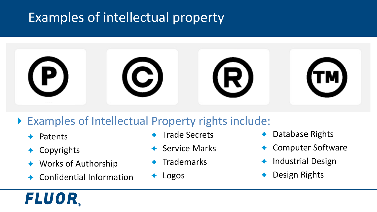## Examples of intellectual property



#### ▶ Examples of Intellectual Property rights include:

- Patents
- Copyrights

- Works of Authorship
- Confidential Information
- Trade Secrets
- Service Marks
- **Trademarks**
- Logos
- Database Rights
- Computer Software
- Industrial Design
- Design Rights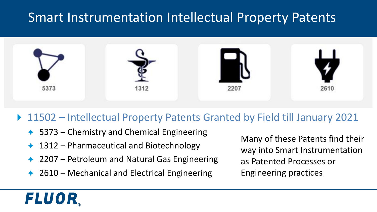### Smart Instrumentation Intellectual Property Patents



#### ▶ 11502 – Intellectual Property Patents Granted by Field till January 2021

- ◆ 5373 Chemistry and Chemical Engineering
- 1312 Pharmaceutical and Biotechnology

*FLUOR.* 

- 2207 Petroleum and Natural Gas Engineering
- $\triangle$  2610 Mechanical and Electrical Engineering

Many of these Patents find their way into Smart Instrumentation as Patented Processes or Engineering practices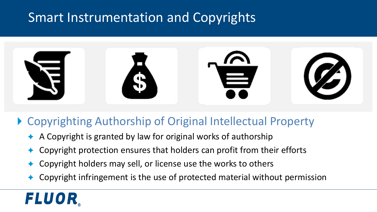### Smart Instrumentation and Copyrights



#### ▶ Copyrighting Authorship of Original Intellectual Property

- A Copyright is granted by law for original works of authorship
- Copyright protection ensures that holders can profit from their efforts
- Copyright holders may sell, or license use the works to others
- Copyright infringement is the use of protected material without permission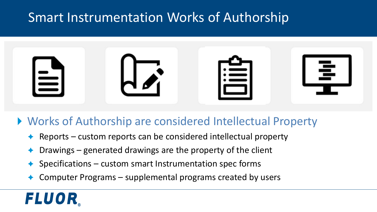### Smart Instrumentation Works of Authorship



#### Works of Authorship are considered Intellectual Property

- Reports custom reports can be considered intellectual property
- Drawings generated drawings are the property of the client
- Specifications custom smart Instrumentation spec forms
- Computer Programs supplemental programs created by users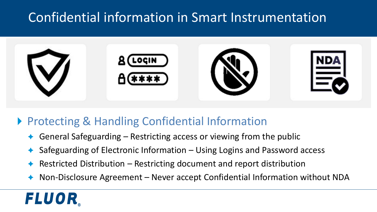## Confidential information in Smart Instrumentation



#### ▶ Protecting & Handling Confidential Information

- General Safeguarding Restricting access or viewing from the public
- Safeguarding of Electronic Information Using Logins and Password access
- Restricted Distribution Restricting document and report distribution
- Non-Disclosure Agreement Never accept Confidential Information without NDA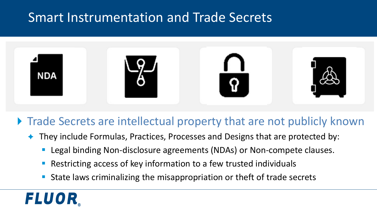### Smart Instrumentation and Trade Secrets



#### ▶ Trade Secrets are intellectual property that are not publicly known

- They include Formulas, Practices, Processes and Designs that are protected by:
	- Legal binding Non-disclosure agreements (NDAs) or Non-compete clauses.
	- Restricting access of key information to a few trusted individuals
	- State laws criminalizing the misappropriation or theft of trade secrets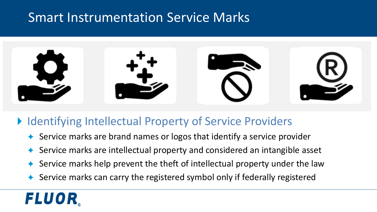### Smart Instrumentation Service Marks



#### ▶ Identifying Intellectual Property of Service Providers

- Service marks are brand names or logos that identify a service provider
- Service marks are intellectual property and considered an intangible asset
- Service marks help prevent the theft of intellectual property under the law
- Service marks can carry the registered symbol only if federally registered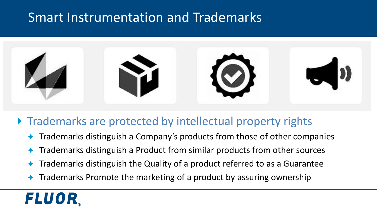### Smart Instrumentation and Trademarks



#### **Trademarks are protected by intellectual property rights**

- Trademarks distinguish a Company's products from those of other companies
- Trademarks distinguish a Product from similar products from other sources
- Trademarks distinguish the Quality of a product referred to as a Guarantee
- Trademarks Promote the marketing of a product by assuring ownership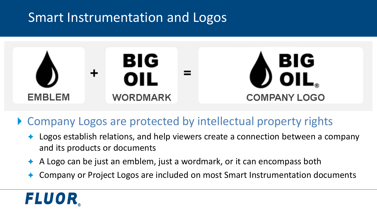### Smart Instrumentation and Logos



▶ Company Logos are protected by intellectual property rights

- ◆ Logos establish relations, and help viewers create a connection between a company and its products or documents
- A Logo can be just an emblem, just a wordmark, or it can encompass both
- Company or Project Logos are included on most Smart Instrumentation documents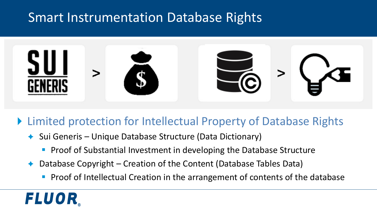### Smart Instrumentation Database Rights



#### ▶ Limited protection for Intellectual Property of Database Rights

- $\triangle$  Sui Generis Unique Database Structure (Data Dictionary)
	- Proof of Substantial Investment in developing the Database Structure
- Database Copyright Creation of the Content (Database Tables Data)
	- Proof of Intellectual Creation in the arrangement of contents of the database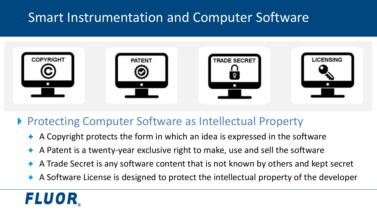## Smart Instrumentation and Computer Software



#### ▶ Protecting Computer Software as Intellectual Property

- A Copyright protects the form in which an idea is expressed in the software
- A Patent is a twenty-year exclusive right to make, use and sell the software
- A Trade Secret is any software content that is not known by others and kept secret
- A Software License is designed to protect the intellectual property of the developer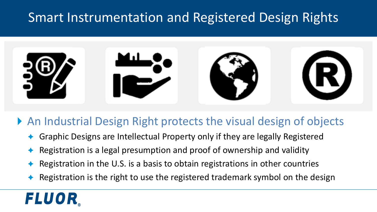### Smart Instrumentation and Registered Design Rights



#### An Industrial Design Right protects the visual design of objects

- Graphic Designs are Intellectual Property only if they are legally Registered
- Registration is a legal presumption and proof of ownership and validity
- Registration in the U.S. is a basis to obtain registrations in other countries
- Registration is the right to use the registered trademark symbol on the design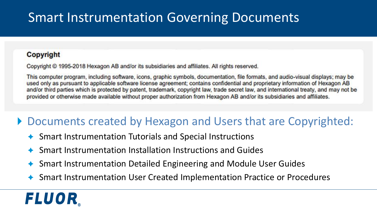## Smart Instrumentation Governing Documents

#### **Copyright**

Copyright © 1995-2018 Hexagon AB and/or its subsidiaries and affiliates. All rights reserved.

This computer program, including software, icons, graphic symbols, documentation, file formats, and audio-visual displays; may be used only as pursuant to applicable software license agreement; contains confidential and proprietary information of Hexagon AB and/or third parties which is protected by patent, trademark, copyright law, trade secret law, and international treaty, and may not be provided or otherwise made available without proper authorization from Hexagon AB and/or its subsidiaries and affiliates.

#### ▶ Documents created by Hexagon and Users that are Copyrighted:

- Smart Instrumentation Tutorials and Special Instructions
- Smart Instrumentation Installation Instructions and Guides
- Smart Instrumentation Detailed Engineering and Module User Guides
- Smart Instrumentation User Created Implementation Practice or Procedures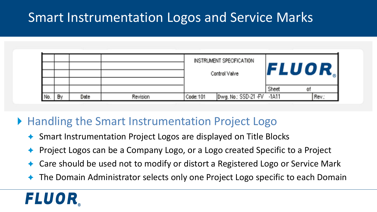### Smart Instrumentation Logos and Service Marks

|     |    |      |          |               | INSTRUMENT SPECIFICATION   |       |              |
|-----|----|------|----------|---------------|----------------------------|-------|--------------|
|     |    |      |          | Control Valve |                            |       | <b>FLUOR</b> |
|     |    |      |          |               |                            |       |              |
|     |    |      |          |               |                            | Sheet |              |
| No. | Đγ | Date | Revision | Code: 101     | Dwg. No.: SSD-21 -FV -1A11 |       | Rev.:        |

#### ▶ Handling the Smart Instrumentation Project Logo

- Smart Instrumentation Project Logos are displayed on Title Blocks
- Project Logos can be a Company Logo, or a Logo created Specific to a Project
- Care should be used not to modify or distort a Registered Logo or Service Mark
- The Domain Administrator selects only one Project Logo specific to each Domain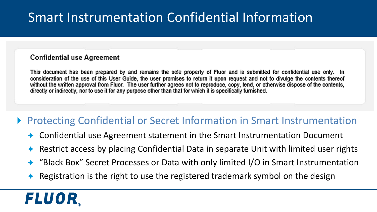## Smart Instrumentation Confidential Information

#### **Confidential use Agreement**

This document has been prepared by and remains the sole property of Fluor and is submitted for confidential use only. In consideration of the use of this User Guide, the user promises to return it upon request and not to divulge the contents thereof without the written approval from Fluor. The user further agrees not to reproduce, copy, lend, or otherwise dispose of the contents, directly or indirectly, nor to use it for any purpose other than that for which it is specifically furnished.

#### ▶ Protecting Confidential or Secret Information in Smart Instrumentation

- Confidential use Agreement statement in the Smart Instrumentation Document
- Restrict access by placing Confidential Data in separate Unit with limited user rights
- "Black Box" Secret Processes or Data with only limited I/O in Smart Instrumentation
- Registration is the right to use the registered trademark symbol on the design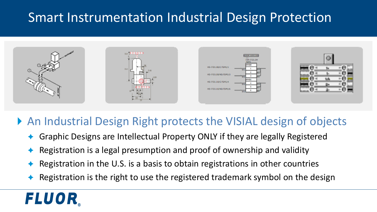## Smart Instrumentation Industrial Design Protection



#### ▶ An Industrial Design Right protects the VISIAL design of objects

- Graphic Designs are Intellectual Property ONLY if they are legally Registered
- Registration is a legal presumption and proof of ownership and validity
- Registration in the U.S. is a basis to obtain registrations in other countries
- Registration is the right to use the registered trademark symbol on the design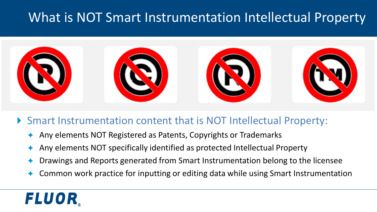### What is NOT Smart Instrumentation Intellectual Property



#### Smart Instrumentation content that is NOT Intellectual Property:

- Any elements NOT Registered as Patents, Copyrights or Trademarks
- Any elements NOT specifically identified as protected Intellectual Property
- Drawings and Reports generated from Smart Instrumentation belong to the licensee
- Common work practice for inputting or editing data while using Smart Instrumentation